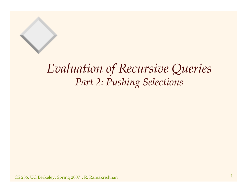### *Evaluation of Recursive Queries Part 2: Pushing Selections*

 $\text{CS}$  286, UC Berkeley, Spring 2007), R. Ramakrishnan 1  $1$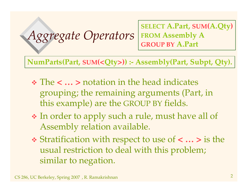#### *Aggregate Operators* **SELECT A.Part, SUM(A.Qty) FROM Assembly <sup>A</sup> GROUP BY A.Part**

**NumParts(Part, SUM(<Qty>)) :- Assembly(Part, Subpt, Qty).**

- The **< … >** notation in the head indicates grouping; the remaining arguments (Part, in this example) are the GROUP BY fields.
- In order to apply such <sup>a</sup> rule, must have all of Assembly relation available.
- Stratification with respec<sup>t</sup> to use of **<sup>&</sup>lt; … <sup>&</sup>gt;** is the usual restriction to deal with this problem; similar to negation.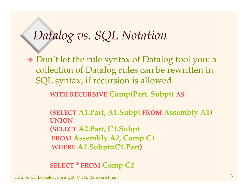### *Datalog vs. SQL Notation*

 Don't let the rule syntax of Datalog fool you: <sup>a</sup> collection of Datalog rules can be rewritten in SQL syntax, if recursion is allowed.

**WITH RECURSIVE Comp(Part, Subpt) AS**

**(SELECT A1.Part, A1.Subpt FROM Assembly A1) UNION(SELECT A2.Part, C1.Subpt FROM Assembly A2, Comp C1 WHERE A2.Subpt=C1.Part)**

**SELECT \* FROM Comp C2**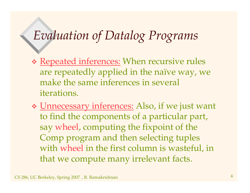## *Evaluation of Datalog Programs*

- \* Repeated inferences: When recursive rules are repeatedly applied in the naïve way, we make the same inferences in several iterations.
- \* Unnecessary inferences: Also, if we just want to find the components of <sup>a</sup> particular part, say wheel, computing the fixpoint of the Comp program and then selecting tuples with wheel in the first column is wasteful, in that we compute many irrelevant facts.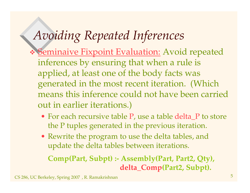## *Avoiding Repeated Inferences*

- \* Seminaive Fixpoint Evaluation: Avoid repeated inferences by ensuring that when <sup>a</sup> rule is applied, at least one of the body facts was generated in the most recent iteration. (Which means this inference could not have been carried out in earlier iterations.)
	- For each recursive table P, use a table delta\_P to store the P tuples generated in the previous iteration.
	- Rewrite the program to use the delta tables, and update the delta tables between iterations.

**Comp(Part, Subpt) :- Assembly(Part, Part2, Qty), delta \_ Comp(Part2, Subpt).**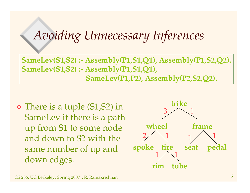## *Avoiding Unnecessary Inferences*

**SameLev(S1,S2) :- Assembly(P1,S1,Q1), Assembly(P1,S2,Q2). SameLev(S1,S2) :- Assembly(P1,S1,Q1), SameLev(P1,P2), Assembly(P2,S2,Q2).**

 There is <sup>a</sup> tuple (S1,S2) in SameLev if there is <sup>a</sup> path up from S1 to some node and down to S2 with the same number of up and down edges.

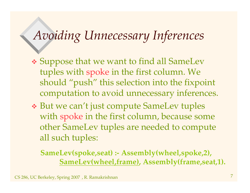## *Avoiding Unnecessary Inferences*

- Suppose that we want to find all SameLev tuples with spoke in the first column. We should "push" this selection into the fixpoint computation to avoid unnecessary inferences.
- But we can't just compute SameLev tuples with spoke in the first column, because some other SameLev tuples are needed to compute all such tuples:

**SameLev(spoke,seat) :- Assembly(wheel,spoke,2), SameLev(wheel,frame), Assembly(frame,seat,1).**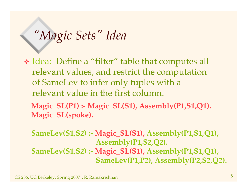## *"Magic Sets" Idea*

 Idea: Define <sup>a</sup> "filter" table that computes all relevant values, and restrict the computation of SameLev to infer only tuples with <sup>a</sup> relevant value in the first column.

**Magic\_SL(P1) :- Magic\_SL(S1), Assembly(P1,S1,Q1). Magic\_SL(spoke).**

**SameLev(S1,S2) :- Magic\_SL(S1), Assembly(P1,S1,Q1), Assembly(P1,S2,Q2). SameLev(S1,S2) :- Magic\_SL(S1), Assembly(P1,S1,Q1), SameLev(P1,P2), Assembly(P2,S2,Q2).**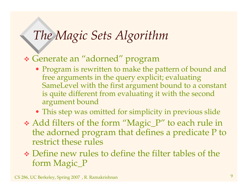# *The Magic Sets Algorithm*

#### Generate an "adorned" program

- Program is rewritten to make the pattern of bound and free arguments in the query explicit; evaluating SameLevel with the first argumen<sup>t</sup> bound to <sup>a</sup> constant is quite different from evaluating it with the second argumen<sup>t</sup> bound
- This step was omitted for simplicity in previous slide
- Add filters of the form "Magic\_P" to each rule in the adorned program that defines <sup>a</sup> predicate <sup>P</sup> to restrict these rules
- Define new rules to define the filter tables of the form Magic\_P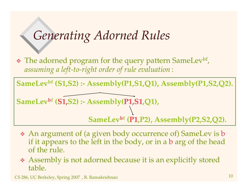## *Generating Adorned Rules*

• The adorned program for the query pattern SameLev<sup>bf</sup>, *assuming <sup>a</sup> left-to-right order of rule evaluation* :

**SameLevbf (S1,S2) :- Assembly(P1,S1,Q1), Assembly(P1,S2,Q2).**

**SameLevbf (S1,S2) :- Assembly(P1,S1,Q1),**

**SameLevbf (P1,P2), Assembly(P2,S2,Q2).**

- An argumen<sup>t</sup> of (a given body occurrence of) SameLev is b if it appears to the left in the body, or in <sup>a</sup> b arg of the head of the rule.
- Assembly is not adorned because it is an explicitly stored table.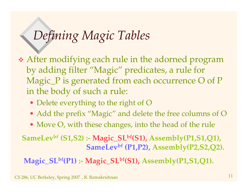## *Defining Magic Tables*

- After modifying each rule in the adorned program by adding filter "Magic" predicates, <sup>a</sup> rule for Magic\_P is generated from each occurrence O of P in the body of such <sup>a</sup> rule:
	- Delete everything to the right of O
	- Add the prefix "Magic" and delete the free columns of O
	- Move O, with these changes, into the head of the rule

#### **SameLevbf (S1,S2) :- Magic\_SLbf(S1), Assembly(P1,S1,Q1), SameLevbf (P1,P2), Assembly(P2,S2,Q2).**

**Magic\_SLbf(P1) :- Magic\_SLbf(S1), Assembly(P1,S1,Q1).**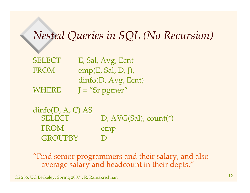### *Nested Queries in SQL (No Recursion)*

| <b>SELECT</b> | E, Sal, Avg, Ecnt    |
|---------------|----------------------|
| <b>FROM</b>   | emp(E, Sal, D, J),   |
|               | dinfo(D, Avg, Earth) |
| <b>WHERE</b>  | $J = "Sr pgrner"$    |

 $dinfo(D, A, C)$   $\underline{AS}$ SELECT D, AVG(Sal), count(\*) FROM emp GROUPBY D

"Find senior programmers and their salary, and also average salary and headcount in their depts."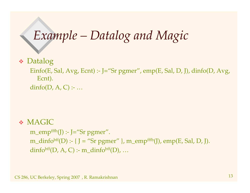## *Example – Datalog and Magic*

Datalog

Einfo(E, Sal, Avg, Ecnt) :- J="Sr pgmer", emp(E, Sal, D, J), dinfo(D, Avg, Ecnt). dinfo( $D$ ,  $A$ ,  $C$ ) :- ...

**◆ MAGIC** 

m \_ empfffb(J) :- J="Sr pgmer". m \_ dinfobff(D) :- { J <sup>=</sup> "Sr pgmer" }, m\_empfffb(J), emp(E, Sal, D, J).  $dinfo<sup>bf</sup>(D, A, C)$  :- m\_dinfo<sup>bff</sup>(D), ...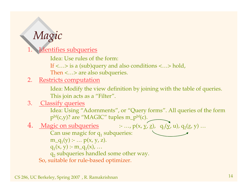## *Magic*

1.**Identifies subqueries** 

Idea: Use rules of the form:

If <…> is <sup>a</sup> (sub)query and also conditions <…> hold,

Then <…> are also subqueries.

#### 2. <u>Restricts computation</u>

Idea: Modify the view definition by joining with the table of queries. This join acts as <sup>a</sup> "Filter".

#### 3. Classify queries

Idea: Using "Adornments", or "Query forms". All queries of the form  $\text{p}^{\text{bf}}(\text{c},\text{y})$ ? are "MAGIC" tuples m\_p $^{\text{bf}}(\text{c})$ .

4. <u>Magic on subqueries</u>  $\qquad :: ..., p(x, y, z), q_1(y, u), q_2(z, y) ...$ 

Can use magic for  $\mathsf{q}_1$  subqueries:  $m_q(y) \text{ : } ... p(x, y, z).$  $q_1(x, y)$  :- m\_q<sub>1</sub>(x), ...  $\mathsf{q}_2$  subqueries handled some other way. So, suitable for rule-based optimizer.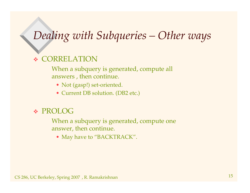### *Dealing with Subqueries – Other ways*

#### 嗪 CORRELATION

When <sup>a</sup> subquery is generated, compute all answers , then continue.

- Not (gasp!) set-oriented.
- Current DB solution. (DB2 etc.)

#### PROLOG

When <sup>a</sup> subquery is generated, compute one answer, then continue.

• May have to "BACKTRACK".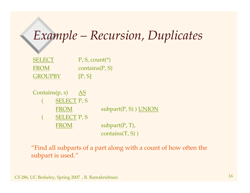### *Example – Recursion, Duplicates*

| <b>SELECT</b>  | $P, S, count(*)$  |
|----------------|-------------------|
| <b>FROM</b>    | contains $(P, S)$ |
| <b>GROUPBY</b> | [P, S]            |



"Find all subparts of <sup>a</sup> par<sup>t</sup> along with <sup>a</sup> count of how often the subpart is used."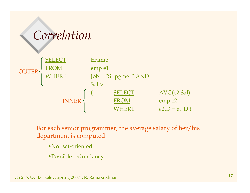# *Correlation*



For each senior programmer, the average salary of her/his department is computed.

- •Not set-oriented.
- •Possible redundancy.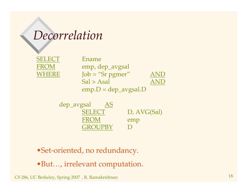### *Decorrelation*

| SELECT      |
|-------------|
| <b>FROM</b> |
| WHERE       |

 Ename emp, dep\_avgsal  $Job = "Sr$  *p*  $g$  *m*  $o$  *m*  $o$  *m*  $o$  *m m m m m m m m m m m m m m m m m m m m m m m m m m m*Sal > Asal AND**AND**  $emp.D = dep\_{avgsal.D}$ 

dep\_avgsal AS **SELECT** D, AVG(Sal) FROM emp GROUPBY D

- •Set-oriented, no redundancy.
- •But…, irrelevant computation.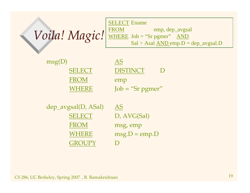| <b>I SELECT Ename</b>                       |  |
|---------------------------------------------|--|
| $Volal$ . Magic! WHERE Job = "Sr pgmer" AND |  |
|                                             |  |
| $Sal > Asal AND emp.D = dep_avgsal.D$       |  |

| msg(D)        | AS.                        |
|---------------|----------------------------|
| <b>SELECT</b> | <b>DISTINCT</b>            |
| <b>FROM</b>   | emp                        |
| WHERE         | $Job = "Sr$ <i>pg</i> mer" |

 $dep_{avgsal}(D, ASal)$  AS SELECT D, AVG(Sal) FROM THE STROME msg, emp **WHERE**  $msg.D = emp.D$ **GROUPY** D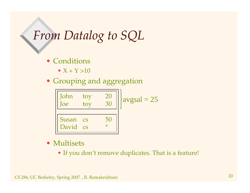### *From Datalog to SQL*

- Conditions
	- $X + Y > 10$
- Grouping and aggregation



- Multisets
	- If you don't remove duplicates. That is <sup>a</sup> feature!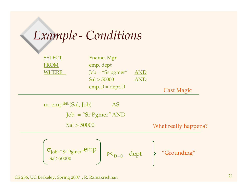## *Example- Conditions*

| <b>SELECT</b> | Ename, Mgr                 |            |                   |
|---------------|----------------------------|------------|-------------------|
| <b>FROM</b>   | emp, dept                  |            |                   |
| <b>WHERE</b>  | $Job = "Sr$ <i>pg</i> mer" | <b>AND</b> |                   |
|               | Sal > 50000                | AND        |                   |
|               | $emp.D = dept.D$           |            |                   |
|               |                            |            | <b>Cast Magic</b> |
|               |                            |            |                   |

m\_emp<sup>fbfb</sup>(Sal, Job) AS Job <sup>=</sup> "Sr Pgmer"AND Sal > 50000 WhatWhat really happens?

$$
\begin{array}{c}\n\sigma_{job='Sr\,Pgmer}.\text{emp} \\
\text{Sal}>50000\n\end{array}\n\quad \bowtie_{\text{D}=D} \text{ depth} \quad \text{``Grounding''}
$$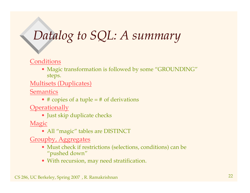# *Datalog to SQL: A summary*

#### Conditions

• Magic transformation is followed by some "GROUNDING" steps.

Multisets (Duplicates)

Semantics

• # copies of <sup>a</sup> tuple <sup>=</sup> # of derivations

**Operationally** 

• Just skip duplicate checks

Magic

• All "magic" tables are DISTINCT

Groupby, Aggregates

- Must check if restrictions (selections, conditions) can be "pushed down"
- With recursion, may need stratification.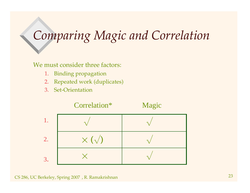# *Comparing Magic and Correlation*

#### We must consider three factors:

- 1.Binding propagation
- 2.Repeated work (duplicates)
- 3. Set-Orientation

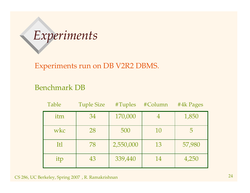# *Experiments*

Experiments run on DB V2R2 DBMS.

#### Benchmark DB

| Table | <b>Tuple Size</b> | #Tuples   | #Column | #4k Pages |
|-------|-------------------|-----------|---------|-----------|
| itm   | 34                | 170,000   |         | 1,850     |
| wkc   | 28                | 500       | 10      |           |
| Itl   | 78                | 2,550,000 | 13      | 57,980    |
| itp   | 43                | 339,440   | 14      | 4,250     |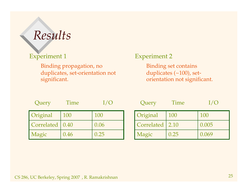## *Results*

#### Experiment 1

Binding propagation, no duplicates, set-orientation not significant.

#### Experiment 2

Binding set contains duplicates (~100), setorientation not significant.

| Query             | Time |      |
|-------------------|------|------|
| Original          | 100  | 100  |
| Correlated   0.40 |      | 0.06 |
| Magic             | 0.46 | 0.25 |

| Query      | Time |       |
|------------|------|-------|
| Original   | 100  | 100   |
| Correlated | 2.10 | 0.005 |
| Magic      | 0.25 | 0.069 |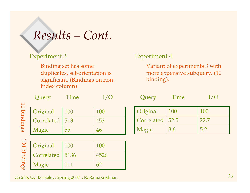### *Results – Cont.*

#### Experiment 3

Binding set has some duplicates, set-orientation is significant. (Bindings on nonindex column)

| <b>Query</b>     | Time |     |
|------------------|------|-----|
| Original         | 100  | 100 |
| Correlated   513 |      | 453 |
| Magic            | 55   | 46  |

b i n din g s

 $\overline{\phantom{a}}$  $\bigcirc$ 

| <b>q</b> 00 | Original          | 100 | 100  |
|-------------|-------------------|-----|------|
| Ē.          | Correlated   5136 |     | 4526 |
| din         | Magic             |     |      |
|             |                   |     |      |

#### CS 286, UC Berkeley, Spring <sup>2007</sup> , R. Ramakrishnan <sup>26</sup>

#### Experiment 4

Variant of experiments 3 with more expensive subquery. (10 binding).

| Query             | Time |      |
|-------------------|------|------|
| Original          | 100  | 100  |
| Correlated   52.5 |      | 22.7 |
|                   |      |      |

Magic 8.6 5.2